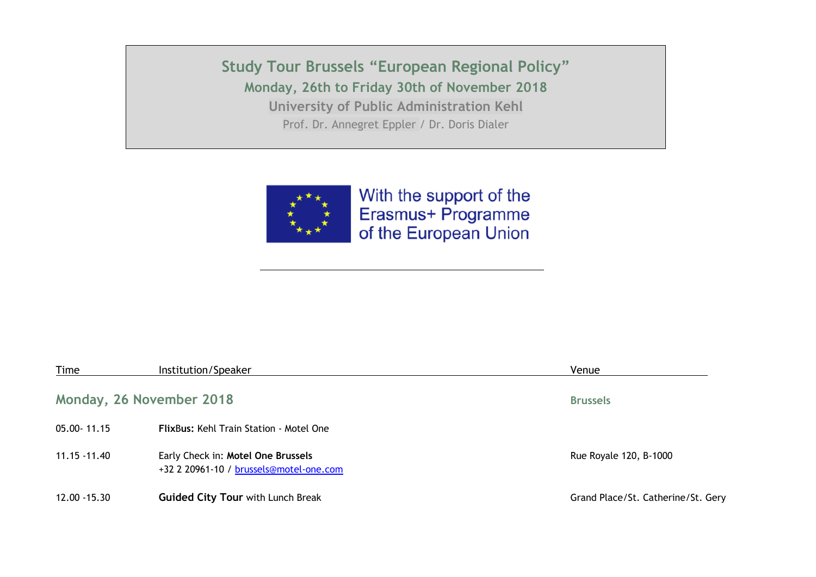**Study Tour Brussels "European Regional Policy" Monday, 26th to Friday 30th of November 2018 University of Public Administration Kehl** 

Prof. Dr. Annegret Eppler / Dr. Doris Dialer



With the support of the Erasmus+ Programme of the European Union

| Time         | Institution/Speaker                                                           | Venue                              |
|--------------|-------------------------------------------------------------------------------|------------------------------------|
|              | Monday, 26 November 2018                                                      | <b>Brussels</b>                    |
| 05.00-11.15  | <b>FlixBus: Kehl Train Station - Motel One</b>                                |                                    |
| 11.15 -11.40 | Early Check in: Motel One Brussels<br>+32 2 20961-10 / brussels@motel-one.com | Rue Royale 120, B-1000             |
| 12.00 -15.30 | <b>Guided City Tour with Lunch Break</b>                                      | Grand Place/St. Catherine/St. Gery |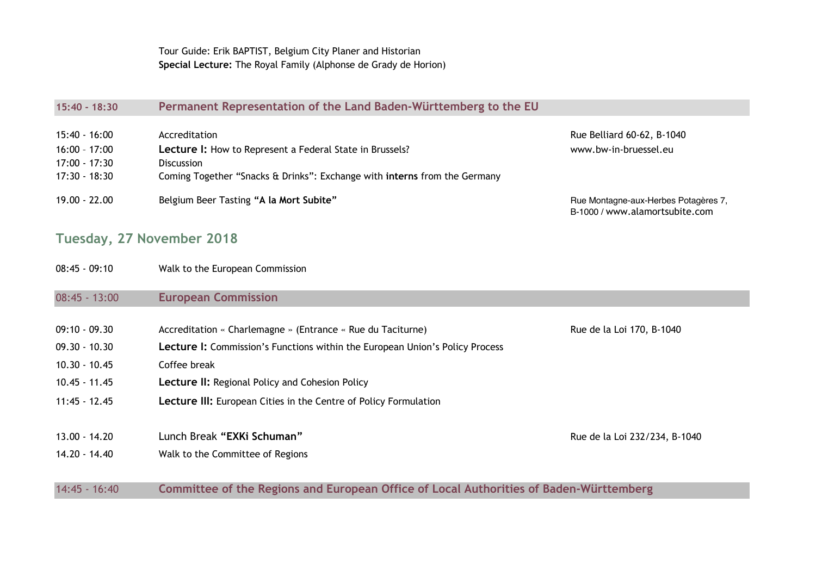Tour Guide: Erik BAPTIST, Belgium City Planer and Historian **Special Lecture:** The Royal Family (Alphonse de Grady de Horion)

#### **15:40 - 18:30 Permanent Representation of the Land Baden-Württemberg to the EU**

| 15:40 - 16:00 | Accreditation                                                             | Rue Belliard 60-62, B-1040                                             |
|---------------|---------------------------------------------------------------------------|------------------------------------------------------------------------|
| 16:00 - 17:00 | Lecture I: How to Represent a Federal State in Brussels?                  | www.bw-in-bruessel.eu                                                  |
| 17:00 - 17:30 | <b>Discussion</b>                                                         |                                                                        |
| 17:30 - 18:30 | Coming Together "Snacks & Drinks": Exchange with interns from the Germany |                                                                        |
|               |                                                                           |                                                                        |
| 19.00 - 22.00 | Belgium Beer Tasting "A la Mort Subite"                                   | Rue Montagne-aux-Herbes Potagères 7,<br>B-1000 / www.alamortsubite.com |

### **Tuesday, 27 November 2018**

08:45 - 09:10 Walk to the European Commission

#### 08:45 - 13:00 **European Commission**

| $09:10 - 09.30$ | Accreditation « Charlemagne » (Entrance « Rue du Taciturne)                            | Rue de la Loi 170, B-1040     |
|-----------------|----------------------------------------------------------------------------------------|-------------------------------|
| $09.30 - 10.30$ | <b>Lecture I:</b> Commission's Functions within the European Union's Policy Process    |                               |
| $10.30 - 10.45$ | Coffee break                                                                           |                               |
| 10.45 - 11.45   | <b>Lecture II:</b> Regional Policy and Cohesion Policy                                 |                               |
| $11:45 - 12.45$ | <b>Lecture III:</b> European Cities in the Centre of Policy Formulation                |                               |
| $13.00 - 14.20$ | Lunch Break "EXKi Schuman"                                                             | Rue de la Loi 232/234, B-1040 |
| 14.20 - 14.40   | Walk to the Committee of Regions                                                       |                               |
| $14:45 - 16:40$ | Committee of the Regions and European Office of Local Authorities of Baden-Württemberg |                               |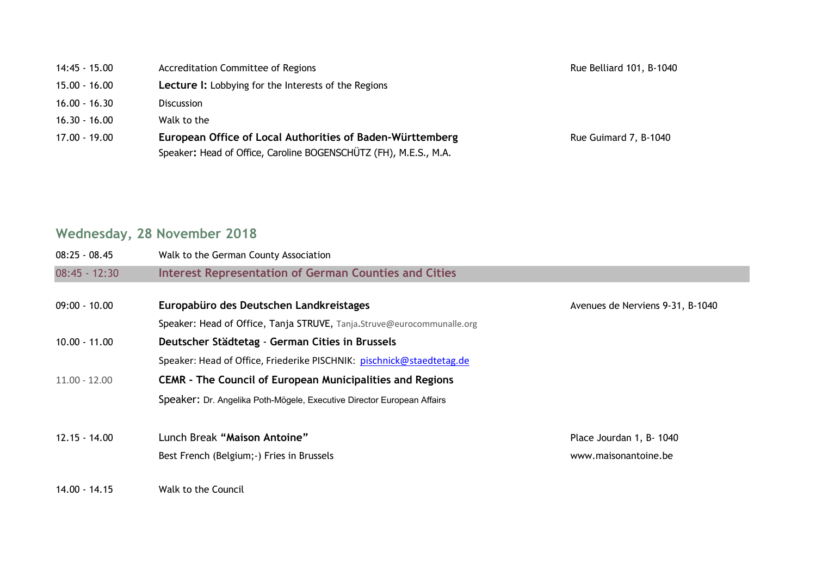| 14:45 - 15.00 | Accreditation Committee of Regions |
|---------------|------------------------------------|
|---------------|------------------------------------|

- 15.00 16.00 **Lecture I:** Lobbying for the Interests of the Regions
- 16.00 16.30 Discussion
- 16.30 16.00 Walk to the
- 17.00 19.00 **European Office of Local Authorities of Baden-Württemberg** Rue Guimard 7, B-1040 Speaker**:** Head of Office, Caroline BOGENSCHÜTZ (FH), M.E.S., M.A.

Rue Belliard 101, B-1040

## **Wednesday, 28 November 2018**

| $08:25 - 08.45$ | Walk to the German County Association                                  |                                  |
|-----------------|------------------------------------------------------------------------|----------------------------------|
| $08:45 - 12:30$ | <b>Interest Representation of German Counties and Cities</b>           |                                  |
| $09:00 - 10.00$ | Europabüro des Deutschen Landkreistages                                | Avenues de Nerviens 9-31, B-1040 |
|                 | Speaker: Head of Office, Tanja STRUVE, Tanja.Struve@eurocommunalle.org |                                  |
| $10.00 - 11.00$ | Deutscher Städtetag - German Cities in Brussels                        |                                  |
|                 | Speaker: Head of Office, Friederike PISCHNIK: pischnick@staedtetag.de  |                                  |
| $11.00 - 12.00$ | <b>CEMR - The Council of European Municipalities and Regions</b>       |                                  |
|                 | Speaker: Dr. Angelika Poth-Mögele, Executive Director European Affairs |                                  |
| $12.15 - 14.00$ | Lunch Break "Maison Antoine"                                           | Place Jourdan 1, B- 1040         |
|                 | Best French (Belgium; -) Fries in Brussels                             | www.maisonantoine.be             |
| 14.00 - 14.15   | Walk to the Council                                                    |                                  |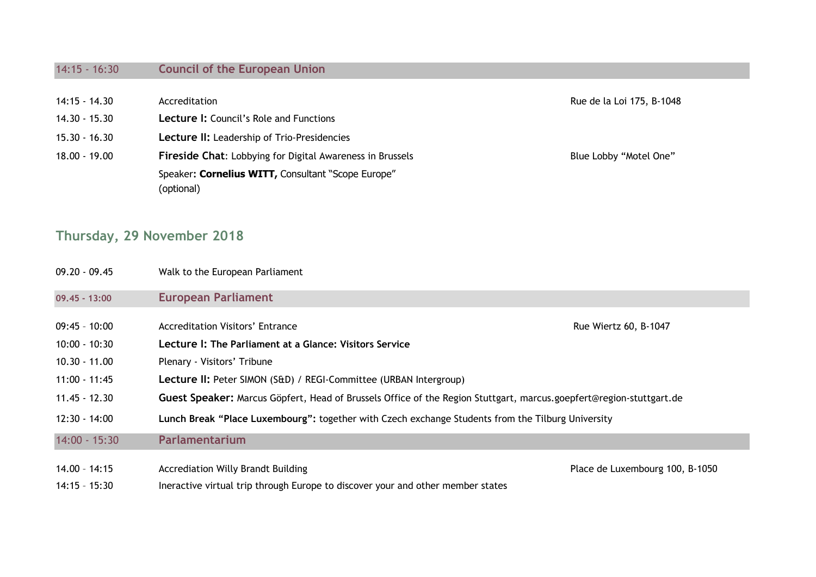## 14:15 - 16:30 **Council of the European Union**

| $14:15 - 14.30$ | Accreditation                                                    | Rue de la Loi 175, B-1048 |
|-----------------|------------------------------------------------------------------|---------------------------|
| $14.30 - 15.30$ | <b>Lecture I:</b> Council's Role and Functions                   |                           |
| $15.30 - 16.30$ | Lecture II: Leadership of Trio-Presidencies                      |                           |
| $18.00 - 19.00$ | <b>Fireside Chat:</b> Lobbying for Digital Awareness in Brussels | Blue Lobby "Motel One"    |
|                 | Speaker: Cornelius WITT, Consultant "Scope Europe"               |                           |
|                 | (optional)                                                       |                           |

## **Thursday, 29 November 2018**

| 09.20 - 09.45   | Walk to the European Parliament                                                                                     |                                 |
|-----------------|---------------------------------------------------------------------------------------------------------------------|---------------------------------|
| 09.45 - 13:00   | <b>European Parliament</b>                                                                                          |                                 |
| 09:45 - 10:00   | <b>Accreditation Visitors' Entrance</b>                                                                             | Rue Wiertz 60, B-1047           |
| $10:00 - 10:30$ | Lecture I: The Parliament at a Glance: Visitors Service                                                             |                                 |
| 10.30 - 11.00   | Plenary - Visitors' Tribune                                                                                         |                                 |
| 11:00 - 11:45   | Lecture II: Peter SIMON (S&D) / REGI-Committee (URBAN Intergroup)                                                   |                                 |
| 11.45 - 12.30   | Guest Speaker: Marcus Göpfert, Head of Brussels Office of the Region Stuttgart, marcus.goepfert@region-stuttgart.de |                                 |
| 12:30 - 14:00   | Lunch Break "Place Luxembourg": together with Czech exchange Students from the Tilburg University                   |                                 |
| $14:00 - 15:30$ | Parlamentarium                                                                                                      |                                 |
| 14.00 - 14:15   | Accrediation Willy Brandt Building                                                                                  | Place de Luxembourg 100, B-1050 |

14:15 - 15:30 Ineractive virtual trip through Europe to discover your and other member states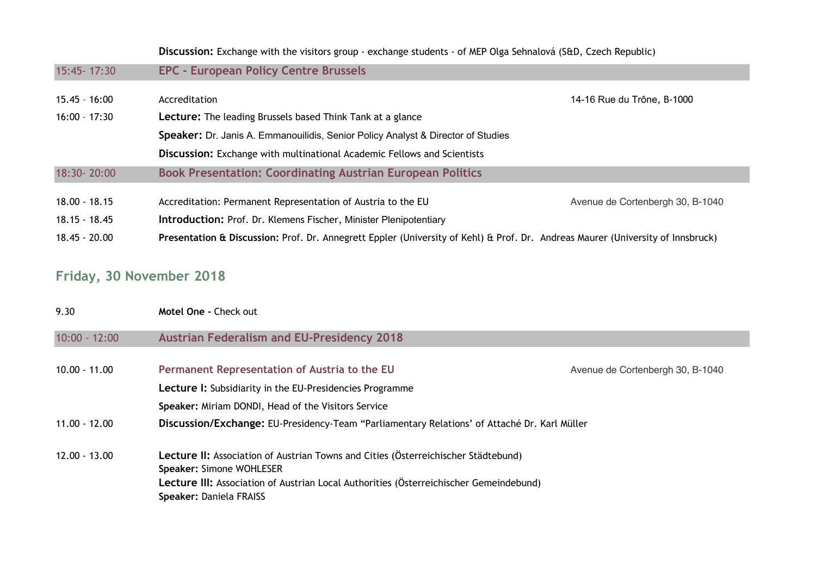|                 | Discussion: Exchange with the visitors group - exchange students - of MEP Olga Sehnalová (S&D, Czech Republic)                  |                                  |
|-----------------|---------------------------------------------------------------------------------------------------------------------------------|----------------------------------|
| 15:45-17:30     | <b>EPC - European Policy Centre Brussels</b>                                                                                    |                                  |
| 15.45 - 16:00   | Accreditation                                                                                                                   | 14-16 Rue du Trône, B-1000       |
| $16:00 - 17:30$ | <b>Lecture:</b> The leading Brussels based Think Tank at a glance                                                               |                                  |
|                 | <b>Speaker:</b> Dr. Janis A. Emmanouilidis, Senior Policy Analyst & Director of Studies                                         |                                  |
|                 | <b>Discussion:</b> Exchange with multinational Academic Fellows and Scientists                                                  |                                  |
| 18:30-20:00     | <b>Book Presentation: Coordinating Austrian European Politics</b>                                                               |                                  |
| $18.00 - 18.15$ | Accreditation: Permanent Representation of Austria to the EU                                                                    | Avenue de Cortenbergh 30, B-1040 |
| $18.15 - 18.45$ | <b>Introduction: Prof. Dr. Klemens Fischer, Minister Plenipotentiary</b>                                                        |                                  |
| 18.45 - 20.00   | Presentation & Discussion: Prof. Dr. Annegrett Eppler (University of Kehl) & Prof. Dr. Andreas Maurer (University of Innsbruck) |                                  |

# **Friday, 30 November 2018**

| Motel One - Check out                                                                                          |                                  |
|----------------------------------------------------------------------------------------------------------------|----------------------------------|
| <b>Austrian Federalism and EU-Presidency 2018</b>                                                              |                                  |
| Permanent Representation of Austria to the EU                                                                  | Avenue de Cortenbergh 30, B-1040 |
| Lecture I: Subsidiarity in the EU-Presidencies Programme                                                       |                                  |
| Speaker: Miriam DONDI, Head of the Visitors Service                                                            |                                  |
| Discussion/Exchange: EU-Presidency-Team "Parliamentary Relations' of Attaché Dr. Karl Müller                   |                                  |
| Lecture II: Association of Austrian Towns and Cities (Österreichischer Städtebund)<br>Speaker: Simone WOHLESER |                                  |
| Lecture III: Association of Austrian Local Authorities (Österreichischer Gemeindebund)                         |                                  |
|                                                                                                                | Speaker: Daniela FRAISS          |